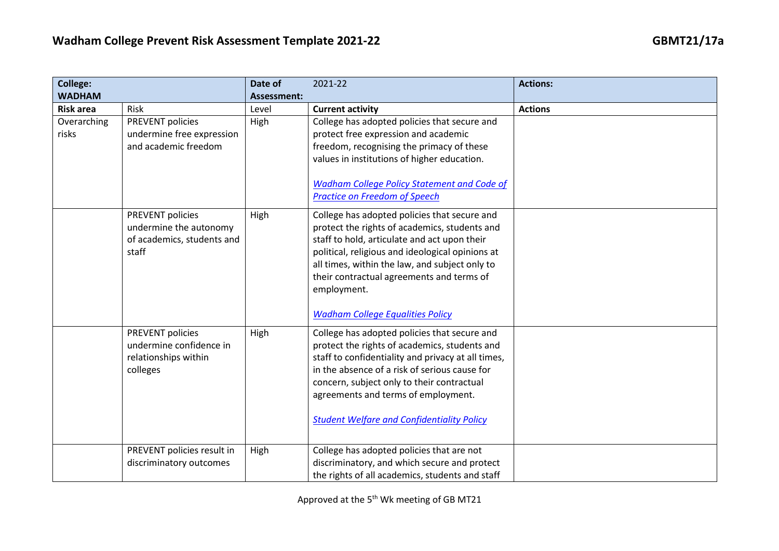| <b>College:</b>      |                                                                                        | Date of            | 2021-22                                                                                                                                                                                                                                                                                                                                                    | <b>Actions:</b> |
|----------------------|----------------------------------------------------------------------------------------|--------------------|------------------------------------------------------------------------------------------------------------------------------------------------------------------------------------------------------------------------------------------------------------------------------------------------------------------------------------------------------------|-----------------|
| <b>WADHAM</b>        |                                                                                        | <b>Assessment:</b> |                                                                                                                                                                                                                                                                                                                                                            |                 |
| <b>Risk area</b>     | Risk                                                                                   | Level              | <b>Current activity</b>                                                                                                                                                                                                                                                                                                                                    | <b>Actions</b>  |
| Overarching<br>risks | <b>PREVENT policies</b><br>undermine free expression<br>and academic freedom           | High               | College has adopted policies that secure and<br>protect free expression and academic<br>freedom, recognising the primacy of these<br>values in institutions of higher education.<br><b>Wadham College Policy Statement and Code of</b><br><b>Practice on Freedom of Speech</b>                                                                             |                 |
|                      | PREVENT policies<br>undermine the autonomy<br>of academics, students and<br>staff      | High               | College has adopted policies that secure and<br>protect the rights of academics, students and<br>staff to hold, articulate and act upon their<br>political, religious and ideological opinions at<br>all times, within the law, and subject only to<br>their contractual agreements and terms of<br>employment.<br><b>Wadham College Equalities Policy</b> |                 |
|                      | <b>PREVENT policies</b><br>undermine confidence in<br>relationships within<br>colleges | High               | College has adopted policies that secure and<br>protect the rights of academics, students and<br>staff to confidentiality and privacy at all times,<br>in the absence of a risk of serious cause for<br>concern, subject only to their contractual<br>agreements and terms of employment.<br><b>Student Welfare and Confidentiality Policy</b>             |                 |
|                      | PREVENT policies result in<br>discriminatory outcomes                                  | High               | College has adopted policies that are not<br>discriminatory, and which secure and protect<br>the rights of all academics, students and staff                                                                                                                                                                                                               |                 |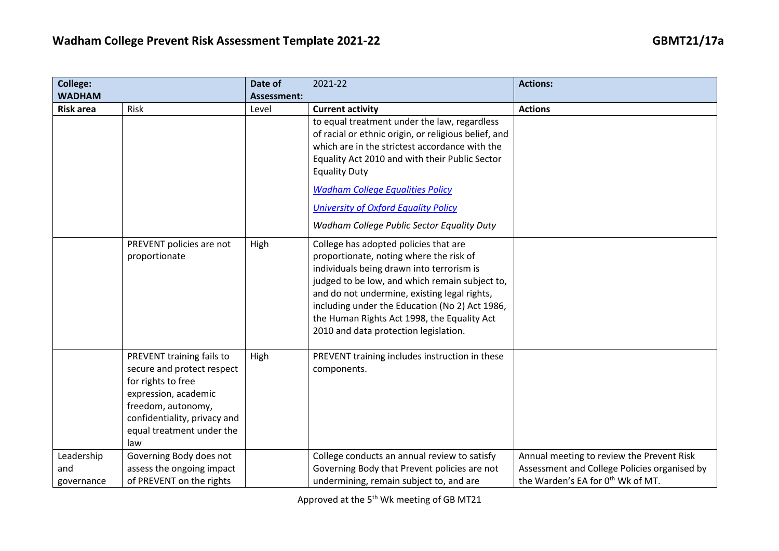| College:         |                              | Date of            | 2021-22                                              | <b>Actions:</b>                              |
|------------------|------------------------------|--------------------|------------------------------------------------------|----------------------------------------------|
| <b>WADHAM</b>    |                              | <b>Assessment:</b> |                                                      |                                              |
| <b>Risk area</b> | Risk                         | Level              | <b>Current activity</b>                              | <b>Actions</b>                               |
|                  |                              |                    | to equal treatment under the law, regardless         |                                              |
|                  |                              |                    | of racial or ethnic origin, or religious belief, and |                                              |
|                  |                              |                    | which are in the strictest accordance with the       |                                              |
|                  |                              |                    | Equality Act 2010 and with their Public Sector       |                                              |
|                  |                              |                    | <b>Equality Duty</b>                                 |                                              |
|                  |                              |                    | <b>Wadham College Equalities Policy</b>              |                                              |
|                  |                              |                    | <b>University of Oxford Equality Policy</b>          |                                              |
|                  |                              |                    | Wadham College Public Sector Equality Duty           |                                              |
|                  | PREVENT policies are not     | High               | College has adopted policies that are                |                                              |
|                  | proportionate                |                    | proportionate, noting where the risk of              |                                              |
|                  |                              |                    | individuals being drawn into terrorism is            |                                              |
|                  |                              |                    | judged to be low, and which remain subject to,       |                                              |
|                  |                              |                    | and do not undermine, existing legal rights,         |                                              |
|                  |                              |                    | including under the Education (No 2) Act 1986,       |                                              |
|                  |                              |                    | the Human Rights Act 1998, the Equality Act          |                                              |
|                  |                              |                    | 2010 and data protection legislation.                |                                              |
|                  | PREVENT training fails to    | High               | PREVENT training includes instruction in these       |                                              |
|                  | secure and protect respect   |                    | components.                                          |                                              |
|                  | for rights to free           |                    |                                                      |                                              |
|                  | expression, academic         |                    |                                                      |                                              |
|                  | freedom, autonomy,           |                    |                                                      |                                              |
|                  | confidentiality, privacy and |                    |                                                      |                                              |
|                  | equal treatment under the    |                    |                                                      |                                              |
|                  | law                          |                    |                                                      |                                              |
| Leadership       | Governing Body does not      |                    | College conducts an annual review to satisfy         | Annual meeting to review the Prevent Risk    |
| and              | assess the ongoing impact    |                    | Governing Body that Prevent policies are not         | Assessment and College Policies organised by |
| governance       | of PREVENT on the rights     |                    | undermining, remain subject to, and are              | the Warden's EA for 0th Wk of MT.            |

Approved at the 5<sup>th</sup> Wk meeting of GB MT21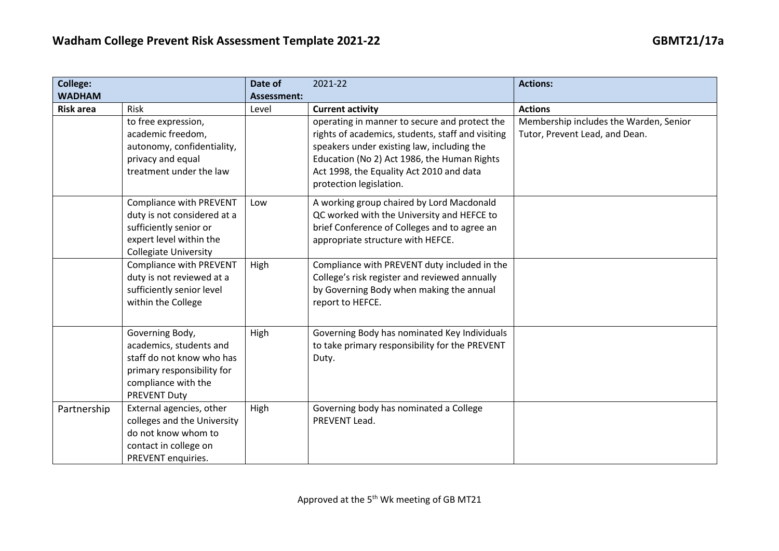| <b>College:</b>  |                                                                                                                                                    | Date of     | 2021-22                                                                                                                                                                                                                                                                | <b>Actions:</b>                                                          |
|------------------|----------------------------------------------------------------------------------------------------------------------------------------------------|-------------|------------------------------------------------------------------------------------------------------------------------------------------------------------------------------------------------------------------------------------------------------------------------|--------------------------------------------------------------------------|
| <b>WADHAM</b>    |                                                                                                                                                    | Assessment: |                                                                                                                                                                                                                                                                        |                                                                          |
| <b>Risk area</b> | Risk                                                                                                                                               | Level       | <b>Current activity</b>                                                                                                                                                                                                                                                | <b>Actions</b>                                                           |
|                  | to free expression,<br>academic freedom,<br>autonomy, confidentiality,<br>privacy and equal<br>treatment under the law                             |             | operating in manner to secure and protect the<br>rights of academics, students, staff and visiting<br>speakers under existing law, including the<br>Education (No 2) Act 1986, the Human Rights<br>Act 1998, the Equality Act 2010 and data<br>protection legislation. | Membership includes the Warden, Senior<br>Tutor, Prevent Lead, and Dean. |
|                  | <b>Compliance with PREVENT</b><br>duty is not considered at a<br>sufficiently senior or<br>expert level within the<br><b>Collegiate University</b> | Low         | A working group chaired by Lord Macdonald<br>QC worked with the University and HEFCE to<br>brief Conference of Colleges and to agree an<br>appropriate structure with HEFCE.                                                                                           |                                                                          |
|                  | Compliance with PREVENT<br>duty is not reviewed at a<br>sufficiently senior level<br>within the College                                            | High        | Compliance with PREVENT duty included in the<br>College's risk register and reviewed annually<br>by Governing Body when making the annual<br>report to HEFCE.                                                                                                          |                                                                          |
|                  | Governing Body,<br>academics, students and<br>staff do not know who has<br>primary responsibility for<br>compliance with the<br>PREVENT Duty       | High        | Governing Body has nominated Key Individuals<br>to take primary responsibility for the PREVENT<br>Duty.                                                                                                                                                                |                                                                          |
| Partnership      | External agencies, other<br>colleges and the University<br>do not know whom to<br>contact in college on<br>PREVENT enquiries.                      | High        | Governing body has nominated a College<br>PREVENT Lead.                                                                                                                                                                                                                |                                                                          |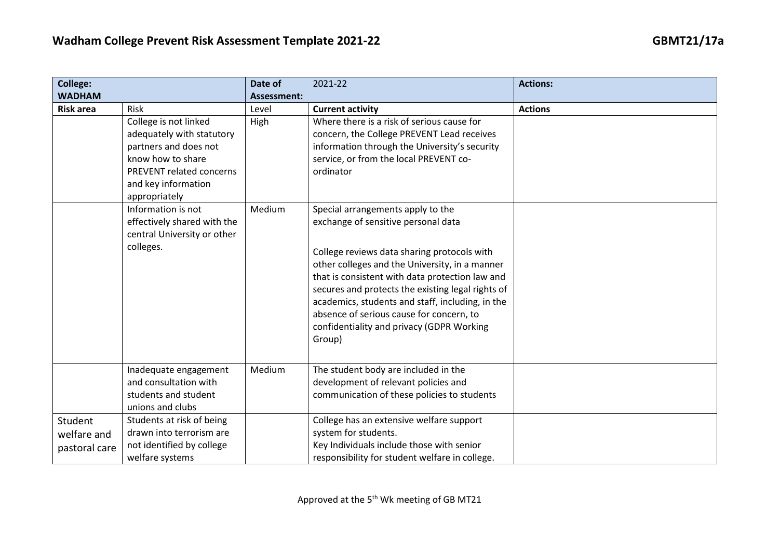| <b>College:</b>  |                                                | Date of     | 2021-22                                           | <b>Actions:</b> |
|------------------|------------------------------------------------|-------------|---------------------------------------------------|-----------------|
| <b>WADHAM</b>    |                                                | Assessment: |                                                   |                 |
| <b>Risk area</b> | Risk                                           | Level       | <b>Current activity</b>                           | <b>Actions</b>  |
|                  | College is not linked                          | High        | Where there is a risk of serious cause for        |                 |
|                  | adequately with statutory                      |             | concern, the College PREVENT Lead receives        |                 |
|                  | partners and does not                          |             | information through the University's security     |                 |
|                  | know how to share                              |             | service, or from the local PREVENT co-            |                 |
|                  | <b>PREVENT related concerns</b>                |             | ordinator                                         |                 |
|                  | and key information                            |             |                                                   |                 |
|                  | appropriately                                  |             |                                                   |                 |
|                  | Information is not                             | Medium      | Special arrangements apply to the                 |                 |
|                  | effectively shared with the                    |             | exchange of sensitive personal data               |                 |
|                  | central University or other                    |             |                                                   |                 |
|                  | colleges.                                      |             | College reviews data sharing protocols with       |                 |
|                  |                                                |             | other colleges and the University, in a manner    |                 |
|                  |                                                |             | that is consistent with data protection law and   |                 |
|                  |                                                |             | secures and protects the existing legal rights of |                 |
|                  |                                                |             | academics, students and staff, including, in the  |                 |
|                  |                                                |             | absence of serious cause for concern, to          |                 |
|                  |                                                |             | confidentiality and privacy (GDPR Working         |                 |
|                  |                                                |             | Group)                                            |                 |
|                  |                                                |             |                                                   |                 |
|                  |                                                | Medium      |                                                   |                 |
|                  | Inadequate engagement<br>and consultation with |             | The student body are included in the              |                 |
|                  |                                                |             | development of relevant policies and              |                 |
|                  | students and student                           |             | communication of these policies to students       |                 |
|                  | unions and clubs                               |             |                                                   |                 |
| Student          | Students at risk of being                      |             | College has an extensive welfare support          |                 |
| welfare and      | drawn into terrorism are                       |             | system for students.                              |                 |
| pastoral care    | not identified by college                      |             | Key Individuals include those with senior         |                 |
|                  | welfare systems                                |             | responsibility for student welfare in college.    |                 |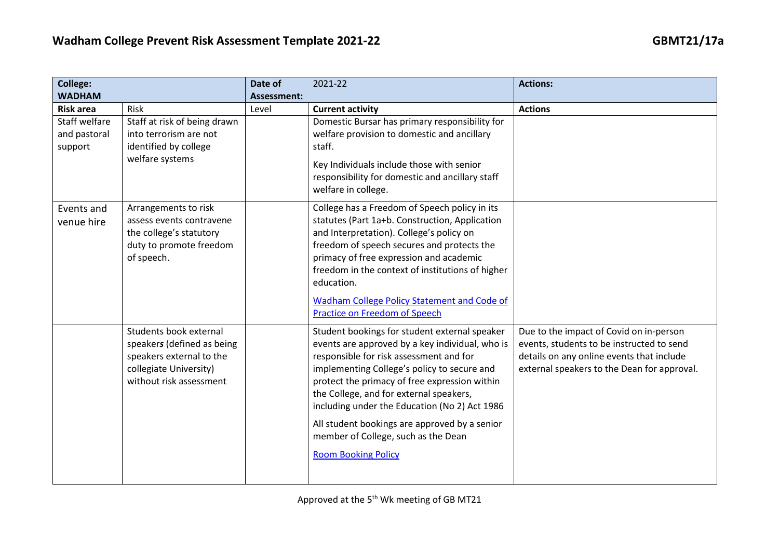| <b>College:</b>                          |                                                                                                                                       | Date of            | 2021-22                                                                                                                                                                                                                                                                                                                                                                                                                                                       | <b>Actions:</b>                                                                                                                                                                  |
|------------------------------------------|---------------------------------------------------------------------------------------------------------------------------------------|--------------------|---------------------------------------------------------------------------------------------------------------------------------------------------------------------------------------------------------------------------------------------------------------------------------------------------------------------------------------------------------------------------------------------------------------------------------------------------------------|----------------------------------------------------------------------------------------------------------------------------------------------------------------------------------|
| <b>WADHAM</b>                            |                                                                                                                                       | <b>Assessment:</b> |                                                                                                                                                                                                                                                                                                                                                                                                                                                               |                                                                                                                                                                                  |
| <b>Risk area</b>                         | Risk                                                                                                                                  | Level              | <b>Current activity</b>                                                                                                                                                                                                                                                                                                                                                                                                                                       | <b>Actions</b>                                                                                                                                                                   |
| Staff welfare<br>and pastoral<br>support | Staff at risk of being drawn<br>into terrorism are not<br>identified by college<br>welfare systems                                    |                    | Domestic Bursar has primary responsibility for<br>welfare provision to domestic and ancillary<br>staff.<br>Key Individuals include those with senior<br>responsibility for domestic and ancillary staff<br>welfare in college.                                                                                                                                                                                                                                |                                                                                                                                                                                  |
| Events and<br>venue hire                 | Arrangements to risk<br>assess events contravene<br>the college's statutory<br>duty to promote freedom<br>of speech.                  |                    | College has a Freedom of Speech policy in its<br>statutes (Part 1a+b. Construction, Application<br>and Interpretation). College's policy on<br>freedom of speech secures and protects the<br>primacy of free expression and academic<br>freedom in the context of institutions of higher<br>education.<br><b>Wadham College Policy Statement and Code of</b><br>Practice on Freedom of Speech                                                                 |                                                                                                                                                                                  |
|                                          | Students book external<br>speakers (defined as being<br>speakers external to the<br>collegiate University)<br>without risk assessment |                    | Student bookings for student external speaker<br>events are approved by a key individual, who is<br>responsible for risk assessment and for<br>implementing College's policy to secure and<br>protect the primacy of free expression within<br>the College, and for external speakers,<br>including under the Education (No 2) Act 1986<br>All student bookings are approved by a senior<br>member of College, such as the Dean<br><b>Room Booking Policy</b> | Due to the impact of Covid on in-person<br>events, students to be instructed to send<br>details on any online events that include<br>external speakers to the Dean for approval. |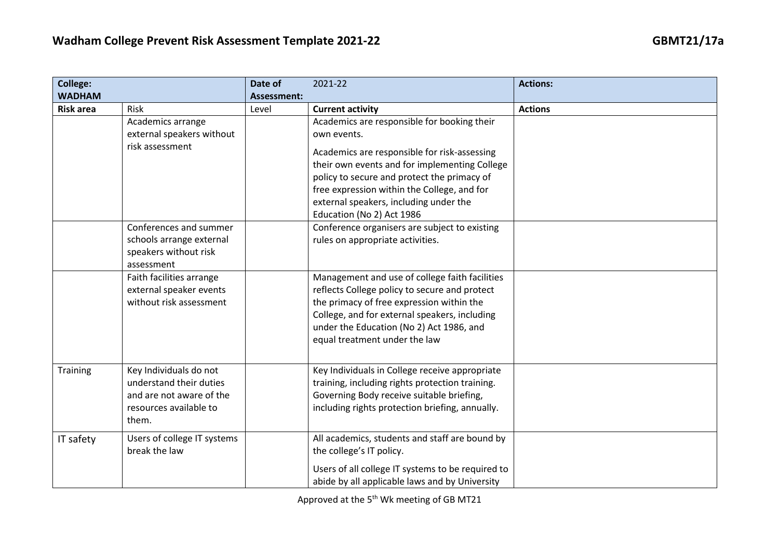| <b>College:</b>  |                                                                                                                  | Date of            | 2021-22                                                                                                                                                                                                                                                                                                                          | <b>Actions:</b> |
|------------------|------------------------------------------------------------------------------------------------------------------|--------------------|----------------------------------------------------------------------------------------------------------------------------------------------------------------------------------------------------------------------------------------------------------------------------------------------------------------------------------|-----------------|
| <b>WADHAM</b>    |                                                                                                                  | <b>Assessment:</b> |                                                                                                                                                                                                                                                                                                                                  |                 |
| <b>Risk area</b> | Risk                                                                                                             | Level              | <b>Current activity</b>                                                                                                                                                                                                                                                                                                          | <b>Actions</b>  |
|                  | Academics arrange<br>external speakers without<br>risk assessment                                                |                    | Academics are responsible for booking their<br>own events.<br>Academics are responsible for risk-assessing<br>their own events and for implementing College<br>policy to secure and protect the primacy of<br>free expression within the College, and for<br>external speakers, including under the<br>Education (No 2) Act 1986 |                 |
|                  | Conferences and summer<br>schools arrange external<br>speakers without risk<br>assessment                        |                    | Conference organisers are subject to existing<br>rules on appropriate activities.                                                                                                                                                                                                                                                |                 |
|                  | Faith facilities arrange<br>external speaker events<br>without risk assessment                                   |                    | Management and use of college faith facilities<br>reflects College policy to secure and protect<br>the primacy of free expression within the<br>College, and for external speakers, including<br>under the Education (No 2) Act 1986, and<br>equal treatment under the law                                                       |                 |
| Training         | Key Individuals do not<br>understand their duties<br>and are not aware of the<br>resources available to<br>them. |                    | Key Individuals in College receive appropriate<br>training, including rights protection training.<br>Governing Body receive suitable briefing,<br>including rights protection briefing, annually.                                                                                                                                |                 |
| IT safety        | Users of college IT systems<br>break the law                                                                     |                    | All academics, students and staff are bound by<br>the college's IT policy.<br>Users of all college IT systems to be required to<br>abide by all applicable laws and by University                                                                                                                                                |                 |

Approved at the 5<sup>th</sup> Wk meeting of GB MT21